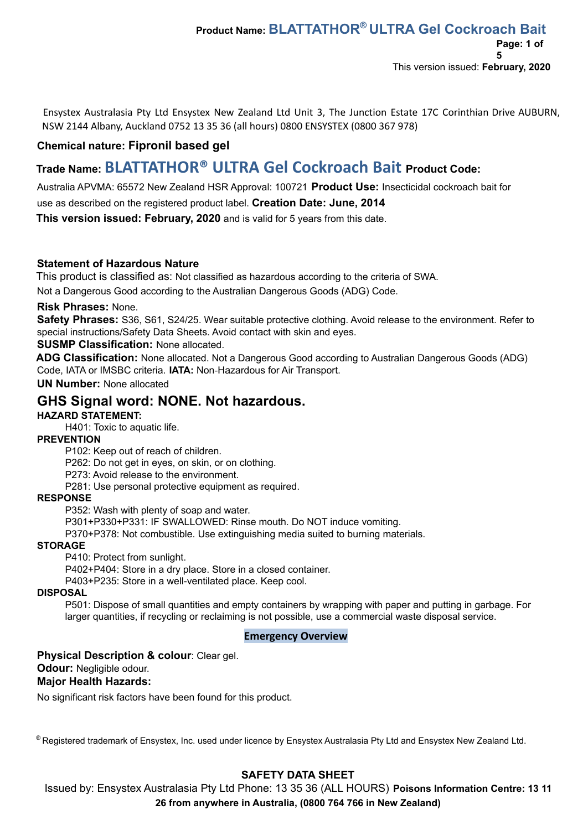Ensystex Australasia Pty Ltd Ensystex New Zealand Ltd Unit 3, The Junction Estate 17C Corinthian Drive AUBURN, NSW 2144 Albany, Auckland 0752 13 35 36 (all hours) 0800 ENSYSTEX (0800 367 978)

## **Chemical nature: Fipronil based gel**

# **Trade Name: BLATTATHOR® ULTRA Gel Cockroach Bait Product Code:**

Australia APVMA: 65572 New Zealand HSR Approval: 100721 **Product Use:** Insecticidal cockroach bait for

use as described on the registered product label. **Creation Date: June, 2014**

**This version issued: February, 2020** and is valid for 5 years from this date.

#### **Statement of Hazardous Nature**

This product is classified as: Not classified as hazardous according to the criteria of SWA.

Not a Dangerous Good according to the Australian Dangerous Goods (ADG) Code.

#### **Risk Phrases:** None.

**Safety Phrases:** S36, S61, S24/25. Wear suitable protective clothing. Avoid release to the environment. Refer to special instructions/Safety Data Sheets. Avoid contact with skin and eyes.

### **SUSMP Classification:** None allocated.

**ADG Classification:** None allocated. Not a Dangerous Good according to Australian Dangerous Goods (ADG) Code, IATA or IMSBC criteria. **IATA:** Non‐Hazardous for Air Transport.

**UN Number:** None allocated

## **GHS Signal word: NONE. Not hazardous.**

## **HAZARD STATEMENT:**

H401: Toxic to aquatic life.

## **PREVENTION**

P102: Keep out of reach of children.

P262: Do not get in eyes, on skin, or on clothing.

P273: Avoid release to the environment.

P281: Use personal protective equipment as required.

#### **RESPONSE**

P352: Wash with plenty of soap and water.

P301+P330+P331: IF SWALLOWED: Rinse mouth. Do NOT induce vomiting.

P370+P378: Not combustible. Use extinguishing media suited to burning materials.

#### **STORAGE**

P410: Protect from sunlight.

P402+P404: Store in a dry place. Store in a closed container.

P403+P235: Store in a well-ventilated place. Keep cool.

#### **DISPOSAL**

P501: Dispose of small quantities and empty containers by wrapping with paper and putting in garbage. For larger quantities, if recycling or reclaiming is not possible, use a commercial waste disposal service.

#### **Emergency Overview**

### **Physical Description & colour**: Clear gel.

#### **Odour:** Negligible odour.

#### **Major Health Hazards:**

No significant risk factors have been found for this product.

® Registered trademark of Ensystex, Inc. used under licence by Ensystex Australasia Pty Ltd and Ensystex New Zealand Ltd.

## **SAFETY DATA SHEET**

Issued by: Ensystex Australasia Pty Ltd Phone: 13 35 36 (ALL HOURS) **Poisons Information Centre: 13 11 26 from anywhere in Australia, (0800 764 766 in New Zealand)**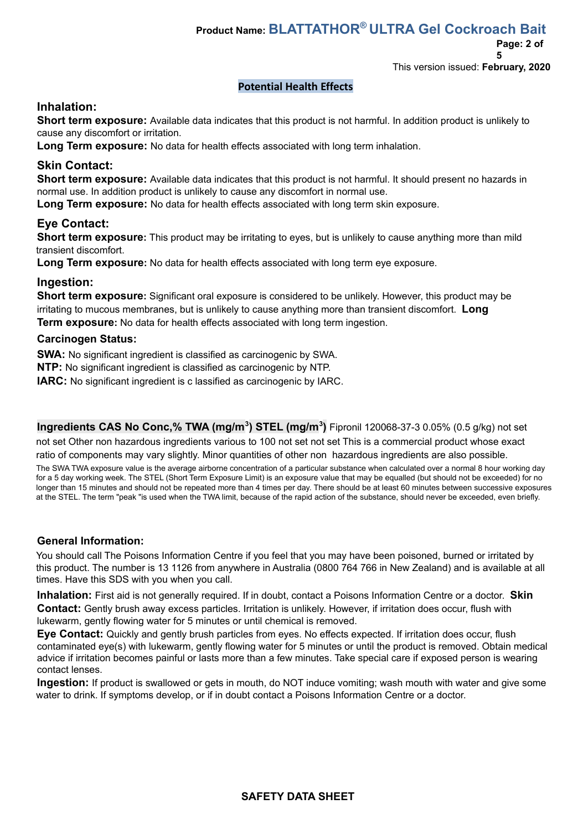# **Product Name: BLATTATHOR ® ULTRA Gel Cockroach Bait**

**Page: 2 of**

**5**

This version issued: **February, 2020**

### **Potential Health Effects**

## **Inhalation:**

**Short term exposure:** Available data indicates that this product is not harmful. In addition product is unlikely to cause any discomfort or irritation.

**Long Term exposure:** No data for health effects associated with long term inhalation.

## **Skin Contact:**

**Short term exposure:** Available data indicates that this product is not harmful. It should present no hazards in normal use. In addition product is unlikely to cause any discomfort in normal use.

**Long Term exposure:** No data for health effects associated with long term skin exposure.

## **Eye Contact:**

**Short term exposure:** This product may be irritating to eyes, but is unlikely to cause anything more than mild transient discomfort.

**Long Term exposure:** No data for health effects associated with long term eye exposure.

### **Ingestion:**

**Short term exposure:** Significant oral exposure is considered to be unlikely. However, this product may be irritating to mucous membranes, but is unlikely to cause anything more than transient discomfort. **Long Term exposure:** No data for health effects associated with long term ingestion.

#### **Carcinogen Status:**

**SWA:** No significant ingredient is classified as carcinogenic by SWA.

**NTP:** No significant ingredient is classified as carcinogenic by NTP.

**IARC:** No significant ingredient is c lassified as carcinogenic by IARC.

**Ingredients CAS No Conc,% TWA (mg/m<sup>3</sup> ) STEL (mg/m<sup>3</sup> )** Fipronil 120068-37-3 0.05% (0.5 g/kg) not set

not set Other non hazardous ingredients various to 100 not set not set This is a commercial product whose exact ratio of components may vary slightly. Minor quantities of other non hazardous ingredients are also possible.

The SWA TWA exposure value is the average airborne concentration of a particular substance when calculated over a normal 8 hour working day for a 5 day working week. The STEL (Short Term Exposure Limit) is an exposure value that may be equalled (but should not be exceeded) for no longer than 15 minutes and should not be repeated more than 4 times per day. There should be at least 60 minutes between successive exposures at the STEL. The term "peak "is used when the TWA limit, because of the rapid action of the substance, should never be exceeded, even briefly.

#### **General Information:**

You should call The Poisons Information Centre if you feel that you may have been poisoned, burned or irritated by this product. The number is 13 1126 from anywhere in Australia (0800 764 766 in New Zealand) and is available at all times. Have this SDS with you when you call.

**Inhalation:** First aid is not generally required. If in doubt, contact a Poisons Information Centre or a doctor. **Skin Contact:** Gently brush away excess particles. Irritation is unlikely. However, if irritation does occur, flush with lukewarm, gently flowing water for 5 minutes or until chemical is removed.

**Eye Contact:** Quickly and gently brush particles from eyes. No effects expected. If irritation does occur, flush contaminated eye(s) with lukewarm, gently flowing water for 5 minutes or until the product is removed. Obtain medical advice if irritation becomes painful or lasts more than a few minutes. Take special care if exposed person is wearing contact lenses.

**Ingestion:** If product is swallowed or gets in mouth, do NOT induce vomiting; wash mouth with water and give some water to drink. If symptoms develop, or if in doubt contact a Poisons Information Centre or a doctor.

## **SAFETY DATA SHEET**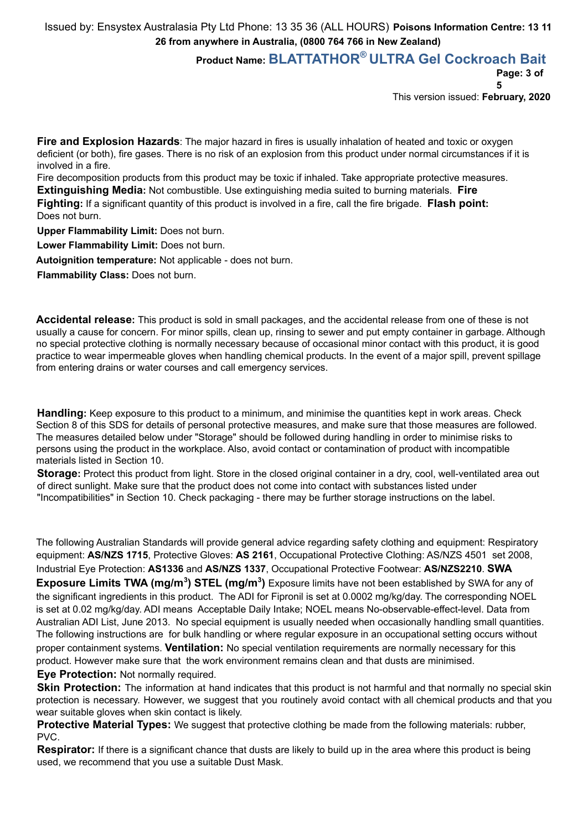## **Product Name: BLATTATHOR ® ULTRA Gel Cockroach Bait**

**Page: 3 of**

**5**

This version issued: **February, 2020**

**Fire and Explosion Hazards**: The major hazard in fires is usually inhalation of heated and toxic or oxygen deficient (or both), fire gases. There is no risk of an explosion from this product under normal circumstances if it is involved in a fire.

Fire decomposition products from this product may be toxic if inhaled. Take appropriate protective measures. **Extinguishing Media:** Not combustible. Use extinguishing media suited to burning materials. **Fire**

**Fighting:** If a significant quantity of this product is involved in a fire, call the fire brigade. **Flash point:** Does not burn.

**Upper Flammability Limit:** Does not burn.

**Lower Flammability Limit:** Does not burn.

**Autoignition temperature:** Not applicable - does not burn.

**Flammability Class:** Does not burn.

**Accidental release:** This product is sold in small packages, and the accidental release from one of these is not usually a cause for concern. For minor spills, clean up, rinsing to sewer and put empty container in garbage. Although no special protective clothing is normally necessary because of occasional minor contact with this product, it is good practice to wear impermeable gloves when handling chemical products. In the event of a major spill, prevent spillage from entering drains or water courses and call emergency services.

**Handling:** Keep exposure to this product to a minimum, and minimise the quantities kept in work areas. Check Section 8 of this SDS for details of personal protective measures, and make sure that those measures are followed. The measures detailed below under "Storage" should be followed during handling in order to minimise risks to persons using the product in the workplace. Also, avoid contact or contamination of product with incompatible materials listed in Section 10.

**Storage**: Protect this product from light. Store in the closed original container in a dry, cool, well-ventilated area out of direct sunlight. Make sure that the product does not come into contact with substances listed under "Incompatibilities" in Section 10. Check packaging - there may be further storage instructions on the label.

The following Australian Standards will provide general advice regarding safety clothing and equipment: Respiratory equipment: **AS/NZS 1715**, Protective Gloves: **AS 2161**, Occupational Protective Clothing: AS/NZS 4501 set 2008, Industrial Eye Protection: **AS1336** and **AS/NZS 1337**, Occupational Protective Footwear: **AS/NZS2210**. **SWA Exposure Limits TWA (mg/m<sup>3</sup>) STEL (mg/m<sup>3</sup>)** Exposure limits have not been established by SWA for any of the significant ingredients in this product. The ADI for Fipronil is set at 0.0002 mg/kg/day. The corresponding NOEL is set at 0.02 mg/kg/day. ADI means Acceptable Daily Intake; NOEL means No-observable-effect-level. Data from Australian ADI List, June 2013. No special equipment is usually needed when occasionally handling small quantities. The following instructions are for bulk handling or where regular exposure in an occupational setting occurs without proper containment systems. **Ventilation:** No special ventilation requirements are normally necessary for this product. However make sure that the work environment remains clean and that dusts are minimised. **Eye Protection:** Not normally required.

**Skin Protection:** The information at hand indicates that this product is not harmful and that normally no special skin protection is necessary. However, we suggest that you routinely avoid contact with all chemical products and that you wear suitable gloves when skin contact is likely.

**Protective Material Types:** We suggest that protective clothing be made from the following materials: rubber, PVC.

**Respirator:** If there is a significant chance that dusts are likely to build up in the area where this product is being used, we recommend that you use a suitable Dust Mask.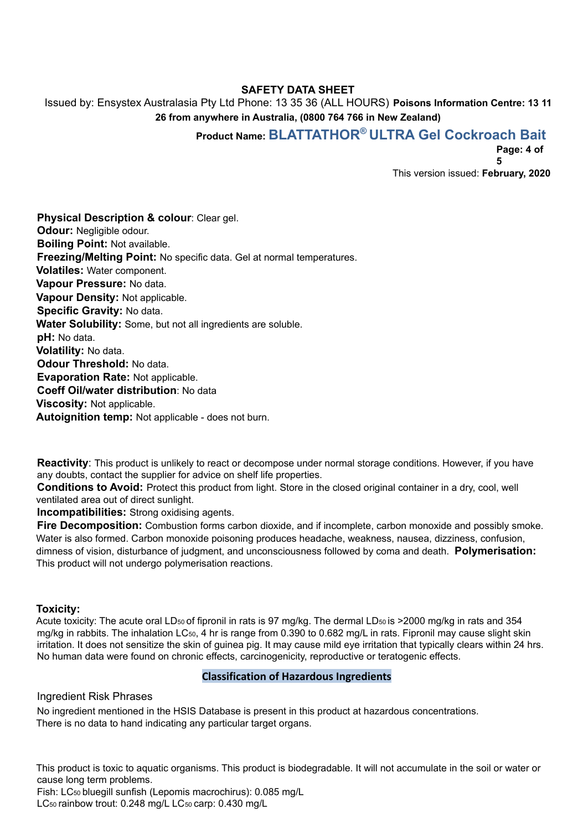## **SAFETY DATA SHEET**

Issued by: Ensystex Australasia Pty Ltd Phone: 13 35 36 (ALL HOURS) **Poisons Information Centre: 13 11 26 from anywhere in Australia, (0800 764 766 in New Zealand)**

# **Product Name: BLATTATHOR ® ULTRA Gel Cockroach Bait**

**Page: 4 of**

**5**

This version issued: **February, 2020**

**Physical Description & colour**: Clear gel. **Odour:** Negligible odour. **Boiling Point:** Not available. **Freezing/Melting Point:** No specific data. Gel at normal temperatures. **Volatiles:** Water component. **Vapour Pressure:** No data. **Vapour Density:** Not applicable. **Specific Gravity:** No data. **Water Solubility:** Some, but not all ingredients are soluble. **pH:** No data. **Volatility:** No data. **Odour Threshold:** No data. **Evaporation Rate:** Not applicable. **Coeff Oil/water distribution**: No data **Viscosity:** Not applicable. **Autoignition temp:** Not applicable - does not burn.

**Reactivity**: This product is unlikely to react or decompose under normal storage conditions. However, if you have any doubts, contact the supplier for advice on shelf life properties.

**Conditions to Avoid:** Protect this product from light. Store in the closed original container in a dry, cool, well ventilated area out of direct sunlight.

**Incompatibilities:** Strong oxidising agents.

**Fire Decomposition:** Combustion forms carbon dioxide, and if incomplete, carbon monoxide and possibly smoke. Water is also formed. Carbon monoxide poisoning produces headache, weakness, nausea, dizziness, confusion, dimness of vision, disturbance of judgment, and unconsciousness followed by coma and death. **Polymerisation:** This product will not undergo polymerisation reactions.

#### **Toxicity:**

Acute toxicity: The acute oral LD<sub>50</sub> of fipronil in rats is 97 mg/kg. The dermal LD<sub>50</sub> is >2000 mg/kg in rats and 354 mg/kg in rabbits. The inhalation LC50, 4 hr is range from 0.390 to 0.682 mg/L in rats. Fipronil may cause slight skin irritation. It does not sensitize the skin of guinea pig. It may cause mild eye irritation that typically clears within 24 hrs. No human data were found on chronic effects, carcinogenicity, reproductive or teratogenic effects.

#### **Classification of Hazardous Ingredients**

Ingredient Risk Phrases

No ingredient mentioned in the HSIS Database is present in this product at hazardous concentrations. There is no data to hand indicating any particular target organs.

This product is toxic to aquatic organisms. This product is biodegradable. It will not accumulate in the soil or water or cause long term problems.

Fish: LC<sup>50</sup> bluegill sunfish (Lepomis macrochirus): 0.085 mg/L

LC<sub>50</sub> rainbow trout: 0.248 mg/L LC<sub>50</sub> carp: 0.430 mg/L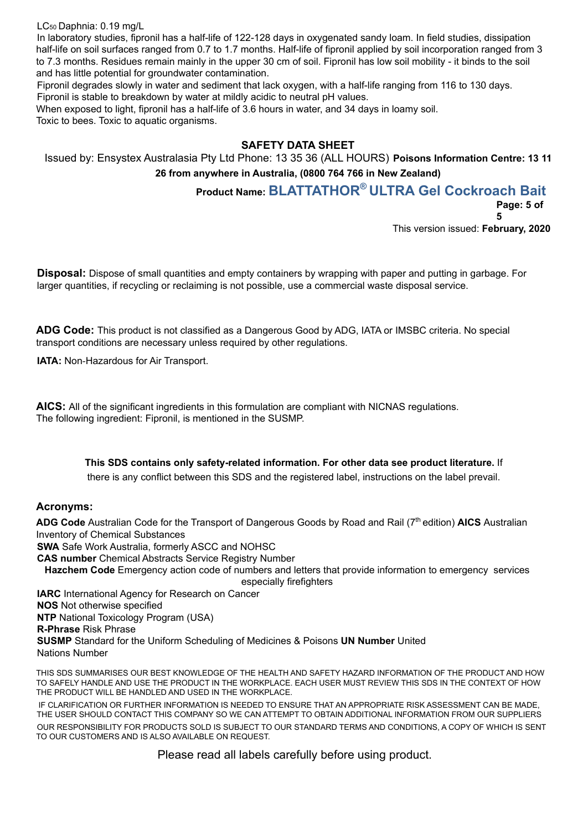LC<sup>50</sup> Daphnia: 0.19 mg/L

In laboratory studies, fipronil has a half-life of 122-128 days in oxygenated sandy loam. In field studies, dissipation half-life on soil surfaces ranged from 0.7 to 1.7 months. Half-life of fipronil applied by soil incorporation ranged from 3 to 7.3 months. Residues remain mainly in the upper 30 cm of soil. Fipronil has low soil mobility - it binds to the soil and has little potential for groundwater contamination.

Fipronil degrades slowly in water and sediment that lack oxygen, with a half-life ranging from 116 to 130 days. Fipronil is stable to breakdown by water at mildly acidic to neutral pH values.

When exposed to light, fipronil has a half-life of 3.6 hours in water, and 34 days in loamy soil. Toxic to bees. Toxic to aquatic organisms.

## **SAFETY DATA SHEET**

Issued by: Ensystex Australasia Pty Ltd Phone: 13 35 36 (ALL HOURS) **Poisons Information Centre: 13 11 26 from anywhere in Australia, (0800 764 766 in New Zealand)**

**Product Name: BLATTATHOR ® ULTRA Gel Cockroach Bait**

**Page: 5 of**

**5**

This version issued: **February, 2020**

**Disposal:** Dispose of small quantities and empty containers by wrapping with paper and putting in garbage. For larger quantities, if recycling or reclaiming is not possible, use a commercial waste disposal service.

**ADG Code:** This product is not classified as a Dangerous Good by ADG, IATA or IMSBC criteria. No special transport conditions are necessary unless required by other regulations.

**IATA: Non-Hazardous for Air Transport.** 

**AICS:** All of the significant ingredients in this formulation are compliant with NICNAS regulations. The following ingredient: Fipronil, is mentioned in the SUSMP.

## **This SDS contains only safety-related information. For other data see product literature.** If

there is any conflict between this SDS and the registered label, instructions on the label prevail.

### **Acronyms:**

ADG Code Australian Code for the Transport of Dangerous Goods by Road and Rail (7<sup>th</sup> edition) AICS Australian Inventory of Chemical Substances

**SWA** Safe Work Australia, formerly ASCC and NOHSC

**CAS number** Chemical Abstracts Service Registry Number

**Hazchem Code** Emergency action code of numbers and letters that provide information to emergency services especially firefighters

**IARC** International Agency for Research on Cancer **NOS** Not otherwise specified **NTP** National Toxicology Program (USA) **R-Phrase** Risk Phrase **SUSMP** Standard for the Uniform Scheduling of Medicines & Poisons **UN Number** United Nations Number

THIS SDS SUMMARISES OUR BEST KNOWLEDGE OF THE HEALTH AND SAFETY HAZARD INFORMATION OF THE PRODUCT AND HOW TO SAFELY HANDLE AND USE THE PRODUCT IN THE WORKPLACE. EACH USER MUST REVIEW THIS SDS IN THE CONTEXT OF HOW THE PRODUCT WILL BE HANDLED AND USED IN THE WORKPLACE.

IF CLARIFICATION OR FURTHER INFORMATION IS NEEDED TO ENSURE THAT AN APPROPRIATE RISK ASSESSMENT CAN BE MADE, THE USER SHOULD CONTACT THIS COMPANY SO WE CAN ATTEMPT TO OBTAIN ADDITIONAL INFORMATION FROM OUR SUPPLIERS OUR RESPONSIBILITY FOR PRODUCTS SOLD IS SUBJECT TO OUR STANDARD TERMS AND CONDITIONS, A COPY OF WHICH IS SENT TO OUR CUSTOMERS AND IS ALSO AVAILABLE ON REQUEST.

Please read all labels carefully before using product.